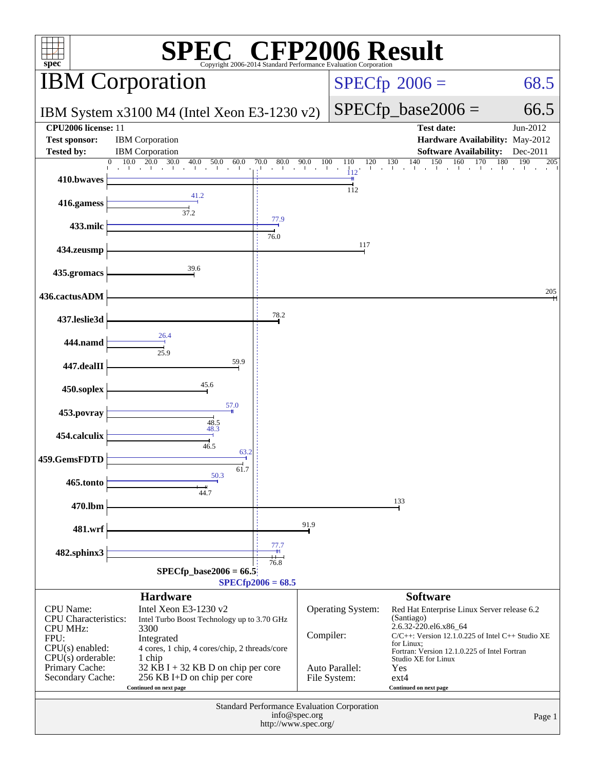| $\mathbb{C}^{\circ}$ CFP2006 Result<br>$spec^*$<br>Copyright 2006-2014 Standard Performance Evaluation Corporation                                         |                                                                                                                                                                                                                                                      |                                                                                  |               |                                                     |                                                                                                                                                                                                                                                                               |                      |  |
|------------------------------------------------------------------------------------------------------------------------------------------------------------|------------------------------------------------------------------------------------------------------------------------------------------------------------------------------------------------------------------------------------------------------|----------------------------------------------------------------------------------|---------------|-----------------------------------------------------|-------------------------------------------------------------------------------------------------------------------------------------------------------------------------------------------------------------------------------------------------------------------------------|----------------------|--|
|                                                                                                                                                            | <b>IBM</b> Corporation                                                                                                                                                                                                                               |                                                                                  |               |                                                     | $SPECfp^{\circ}2006 =$                                                                                                                                                                                                                                                        | 68.5                 |  |
|                                                                                                                                                            | IBM System x3100 M4 (Intel Xeon E3-1230 v2)                                                                                                                                                                                                          |                                                                                  |               |                                                     | $SPECfp\_base2006 =$                                                                                                                                                                                                                                                          | 66.5                 |  |
| CPU2006 license: 11<br><b>Test sponsor:</b><br><b>Tested by:</b>                                                                                           | <b>IBM</b> Corporation<br><b>IBM</b> Corporation                                                                                                                                                                                                     |                                                                                  |               |                                                     | <b>Test date:</b><br>Hardware Availability: May-2012<br><b>Software Availability:</b>                                                                                                                                                                                         | Jun-2012<br>Dec-2011 |  |
|                                                                                                                                                            | 30.0<br>10.0<br>20.0<br>40.0<br>50.0<br>60.0<br>$\overline{0}$<br>$\tilde{1}$                                                                                                                                                                        | $\begin{array}{cccc} 0 & 80.0 & 90.0 & 100 \\ & & 1 & 1 & 1 \end{array}$<br>70.0 | 100           | 110<br>120<br>112                                   | 150<br>140<br>160<br>130<br>170                                                                                                                                                                                                                                               | 180<br>190<br>205    |  |
| 410.bwaves                                                                                                                                                 |                                                                                                                                                                                                                                                      |                                                                                  |               | 112                                                 |                                                                                                                                                                                                                                                                               |                      |  |
| 416.gamess                                                                                                                                                 | 41.2<br>37.2                                                                                                                                                                                                                                         |                                                                                  |               |                                                     |                                                                                                                                                                                                                                                                               |                      |  |
| 433.milc                                                                                                                                                   |                                                                                                                                                                                                                                                      | 77.9<br>76.0                                                                     |               |                                                     |                                                                                                                                                                                                                                                                               |                      |  |
| 434.zeusmp                                                                                                                                                 |                                                                                                                                                                                                                                                      |                                                                                  |               | 117                                                 |                                                                                                                                                                                                                                                                               |                      |  |
| 435.gromacs                                                                                                                                                | 39.6                                                                                                                                                                                                                                                 |                                                                                  |               |                                                     |                                                                                                                                                                                                                                                                               |                      |  |
| 436.cactusADM                                                                                                                                              |                                                                                                                                                                                                                                                      |                                                                                  |               |                                                     |                                                                                                                                                                                                                                                                               | 205                  |  |
| 437.leslie3d                                                                                                                                               |                                                                                                                                                                                                                                                      | 78.2                                                                             |               |                                                     |                                                                                                                                                                                                                                                                               |                      |  |
| 444.namd                                                                                                                                                   | 26.4<br>25.9                                                                                                                                                                                                                                         |                                                                                  |               |                                                     |                                                                                                                                                                                                                                                                               |                      |  |
| 447.dealII                                                                                                                                                 | 59.9                                                                                                                                                                                                                                                 |                                                                                  |               |                                                     |                                                                                                                                                                                                                                                                               |                      |  |
| 450.soplex                                                                                                                                                 | 45.6                                                                                                                                                                                                                                                 |                                                                                  |               |                                                     |                                                                                                                                                                                                                                                                               |                      |  |
| 453.povray                                                                                                                                                 | 57.0                                                                                                                                                                                                                                                 |                                                                                  |               |                                                     |                                                                                                                                                                                                                                                                               |                      |  |
| 454.calculix                                                                                                                                               | 48.5<br>48.3                                                                                                                                                                                                                                         |                                                                                  |               |                                                     |                                                                                                                                                                                                                                                                               |                      |  |
| 459.GemsFDTD                                                                                                                                               | 46.5<br>63.2<br>61.7                                                                                                                                                                                                                                 |                                                                                  |               |                                                     |                                                                                                                                                                                                                                                                               |                      |  |
| 465.tonto                                                                                                                                                  | 50.3<br>44.7                                                                                                                                                                                                                                         |                                                                                  |               |                                                     |                                                                                                                                                                                                                                                                               |                      |  |
| 470.lbm                                                                                                                                                    |                                                                                                                                                                                                                                                      |                                                                                  |               |                                                     | 133                                                                                                                                                                                                                                                                           |                      |  |
| 481.wrf                                                                                                                                                    |                                                                                                                                                                                                                                                      |                                                                                  | 91.9          |                                                     |                                                                                                                                                                                                                                                                               |                      |  |
| 482.sphinx3                                                                                                                                                |                                                                                                                                                                                                                                                      | 77.7                                                                             |               |                                                     |                                                                                                                                                                                                                                                                               |                      |  |
|                                                                                                                                                            | $SPECfp\_base2006 = 66.5$                                                                                                                                                                                                                            | 76.8<br>$SPECfp2006 = 68.5$                                                      |               |                                                     |                                                                                                                                                                                                                                                                               |                      |  |
|                                                                                                                                                            | <b>Hardware</b>                                                                                                                                                                                                                                      |                                                                                  |               |                                                     | <b>Software</b>                                                                                                                                                                                                                                                               |                      |  |
| <b>CPU</b> Name:<br><b>CPU</b> Characteristics:<br><b>CPU MHz:</b><br>FPU:<br>CPU(s) enabled:<br>$CPU(s)$ orderable:<br>Primary Cache:<br>Secondary Cache: | Intel Xeon E3-1230 v2<br>Intel Turbo Boost Technology up to 3.70 GHz<br>3300<br>Integrated<br>4 cores, 1 chip, 4 cores/chip, 2 threads/core<br>1 chip<br>32 KB I + 32 KB D on chip per core<br>256 KB I+D on chip per core<br>Continued on next page |                                                                                  | Compiler:     | Operating System:<br>Auto Parallel:<br>File System: | Red Hat Enterprise Linux Server release 6.2<br>(Santiago)<br>2.6.32-220.el6.x86_64<br>$C/C++$ : Version 12.1.0.225 of Intel $C++$ Studio XE<br>for Linux;<br>Fortran: Version 12.1.0.225 of Intel Fortran<br>Studio XE for Linux<br>Yes<br>$ext{4}$<br>Continued on next page |                      |  |
|                                                                                                                                                            |                                                                                                                                                                                                                                                      | http://www.spec.org/                                                             | info@spec.org | Standard Performance Evaluation Corporation         |                                                                                                                                                                                                                                                                               | Page 1               |  |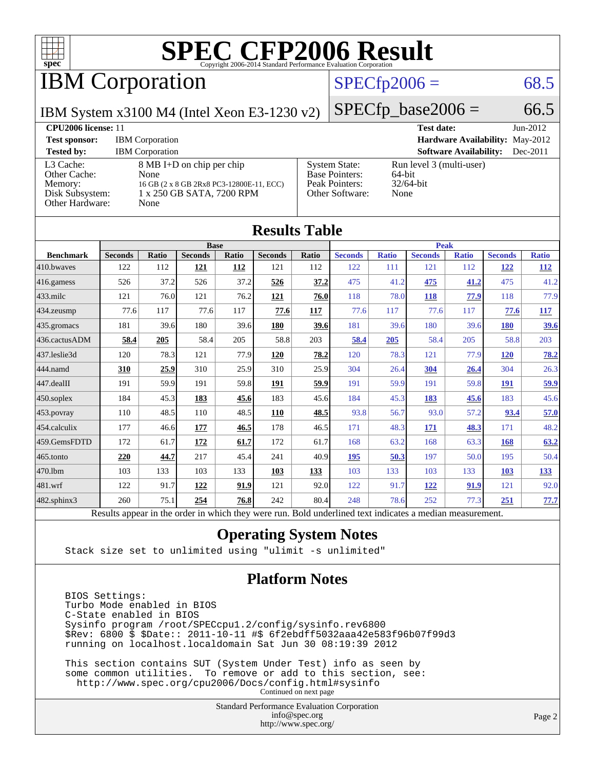

IBM Corporation

#### $SPECTp2006 = 68.5$

 $SPECTp\_base2006 = 66.5$ 

IBM System x3100 M4 (Intel Xeon E3-1230 v2)

| <b>CPU2006 license: 11</b>                                                 |                                                                                                                    |                                                                                    | <b>Test date:</b><br>$Jun-2012$                            |
|----------------------------------------------------------------------------|--------------------------------------------------------------------------------------------------------------------|------------------------------------------------------------------------------------|------------------------------------------------------------|
| <b>Test sponsor:</b>                                                       | <b>IBM</b> Corporation                                                                                             |                                                                                    | <b>Hardware Availability: May-2012</b>                     |
| <b>Tested by:</b>                                                          | <b>IBM</b> Corporation                                                                                             |                                                                                    | <b>Software Availability:</b><br>$Dec-2011$                |
| L3 Cache:<br>Other Cache:<br>Memory:<br>Disk Subsystem:<br>Other Hardware: | 8 MB I+D on chip per chip<br>None<br>16 GB (2 x 8 GB 2Rx8 PC3-12800E-11, ECC)<br>1 x 250 GB SATA, 7200 RPM<br>None | <b>System State:</b><br><b>Base Pointers:</b><br>Peak Pointers:<br>Other Software: | Run level 3 (multi-user)<br>64-bit<br>$32/64$ -bit<br>None |

| <b>Results Table</b> |                                                                                                          |              |                |       |                |             |                |              |                |              |                |              |
|----------------------|----------------------------------------------------------------------------------------------------------|--------------|----------------|-------|----------------|-------------|----------------|--------------|----------------|--------------|----------------|--------------|
|                      | <b>Base</b>                                                                                              |              |                |       |                | <b>Peak</b> |                |              |                |              |                |              |
| <b>Benchmark</b>     | <b>Seconds</b>                                                                                           | <b>Ratio</b> | <b>Seconds</b> | Ratio | <b>Seconds</b> | Ratio       | <b>Seconds</b> | <b>Ratio</b> | <b>Seconds</b> | <b>Ratio</b> | <b>Seconds</b> | <b>Ratio</b> |
| 410.bwayes           | 122                                                                                                      | 112          | 121            | 112   | 121            | 112         | 122            | 111          | 121            | 112          | <u>122</u>     | <u>112</u>   |
| 416.gamess           | 526                                                                                                      | 37.2         | 526            | 37.2  | 526            | 37.2        | 475            | 41.2         | 475            | 41.2         | 475            | 41.2         |
| $433$ .milc          | 121                                                                                                      | 76.0         | 121            | 76.2  | 121            | 76.0        | 118            | 78.0         | <b>118</b>     | 77.9         | 118            | 77.9         |
| 434.zeusmp           | 77.6                                                                                                     | 117          | 77.6           | 117   | 77.6           | <b>117</b>  | 77.6           | 117          | 77.6           | 117          | 77.6           | <b>117</b>   |
| 435.gromacs          | 181                                                                                                      | 39.6         | 180            | 39.6  | 180            | 39.6        | 181            | 39.6         | 180            | 39.6         | <b>180</b>     | 39.6         |
| 436.cactusADM        | 58.4                                                                                                     | 205          | 58.4           | 205   | 58.8           | 203         | 58.4           | 205          | 58.4           | 205          | 58.8           | 203          |
| 437.leslie3d         | 120                                                                                                      | 78.3         | 121            | 77.9  | <b>120</b>     | 78.2        | 120            | 78.3         | 121            | 77.9         | <b>120</b>     | <u>78.2</u>  |
| 444.namd             | 310                                                                                                      | 25.9         | 310            | 25.9  | 310            | 25.9        | 304            | 26.4         | 304            | 26.4         | 304            | 26.3         |
| 447.dealII           | 191                                                                                                      | 59.9         | 191            | 59.8  | 191            | 59.9        | 191            | 59.9         | 191            | 59.8         | 191            | 59.9         |
| $450$ .soplex        | 184                                                                                                      | 45.3         | 183            | 45.6  | 183            | 45.6        | 184            | 45.3         | 183            | 45.6         | 183            | 45.6         |
| 453.povray           | 110                                                                                                      | 48.5         | 110            | 48.5  | 110            | 48.5        | 93.8           | 56.7         | 93.0           | 57.2         | 93.4           | 57.0         |
| 454.calculix         | 177                                                                                                      | 46.6         | 177            | 46.5  | 178            | 46.5        | 171            | 48.3         | 171            | 48.3         | 171            | 48.2         |
| 459.GemsFDTD         | 172                                                                                                      | 61.7         | 172            | 61.7  | 172            | 61.7        | 168            | 63.2         | 168            | 63.3         | 168            | 63.2         |
| 465.tonto            | 220                                                                                                      | 44.7         | 217            | 45.4  | 241            | 40.9        | 195            | 50.3         | 197            | 50.0         | 195            | 50.4         |
| 470.1bm              | 103                                                                                                      | 133          | 103            | 133   | 103            | 133         | 103            | 133          | 103            | 133          | 103            | <u>133</u>   |
| 481.wrf              | 122                                                                                                      | 91.7         | 122            | 91.9  | 121            | 92.0        | 122            | 91.7         | 122            | 91.9         | 121            | 92.0         |
| $482$ .sphinx $3$    | 260                                                                                                      | 75.1         | 254            | 76.8  | 242            | 80.4        | 248            | 78.6         | 252            | 77.3         | 251            | 77.7         |
|                      | Results appear in the order in which they were run. Bold underlined text indicates a median measurement. |              |                |       |                |             |                |              |                |              |                |              |

#### **[Operating System Notes](http://www.spec.org/auto/cpu2006/Docs/result-fields.html#OperatingSystemNotes)**

Stack size set to unlimited using "ulimit -s unlimited"

#### **[Platform Notes](http://www.spec.org/auto/cpu2006/Docs/result-fields.html#PlatformNotes)**

 BIOS Settings: Turbo Mode enabled in BIOS C-State enabled in BIOS Sysinfo program /root/SPECcpu1.2/config/sysinfo.rev6800 \$Rev: 6800 \$ \$Date:: 2011-10-11 #\$ 6f2ebdff5032aaa42e583f96b07f99d3 running on localhost.localdomain Sat Jun 30 08:19:39 2012

 This section contains SUT (System Under Test) info as seen by some common utilities. To remove or add to this section, see: <http://www.spec.org/cpu2006/Docs/config.html#sysinfo> Continued on next page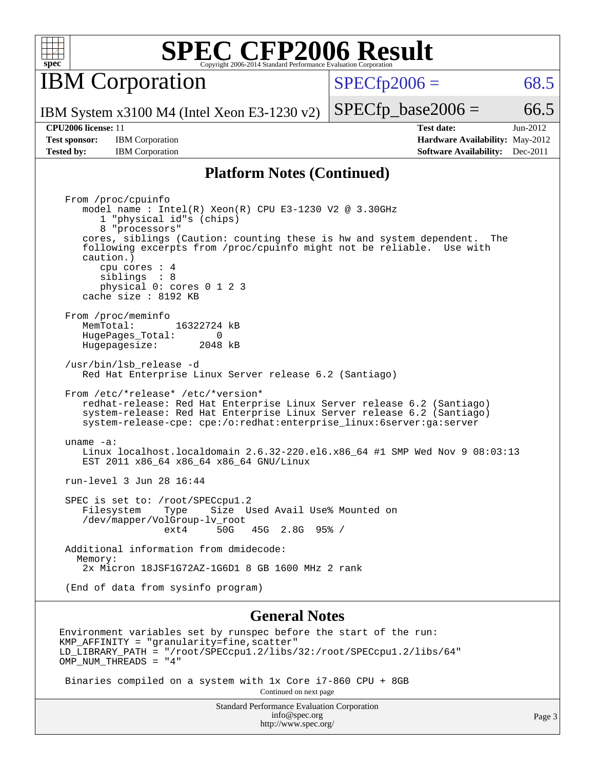

**IBM** Corporation

 $SPECTp2006 = 68.5$ 

IBM System x3100 M4 (Intel Xeon E3-1230 v2)

#### **[CPU2006 license:](http://www.spec.org/auto/cpu2006/Docs/result-fields.html#CPU2006license)** 11 **[Test date:](http://www.spec.org/auto/cpu2006/Docs/result-fields.html#Testdate)** Jun-2012

**[Test sponsor:](http://www.spec.org/auto/cpu2006/Docs/result-fields.html#Testsponsor)** IBM Corporation **[Hardware Availability:](http://www.spec.org/auto/cpu2006/Docs/result-fields.html#HardwareAvailability)** May-2012

 $SPECTp\_base2006 = 66.5$ 

**[Tested by:](http://www.spec.org/auto/cpu2006/Docs/result-fields.html#Testedby)** IBM Corporation **[Software Availability:](http://www.spec.org/auto/cpu2006/Docs/result-fields.html#SoftwareAvailability)** Dec-2011

#### **[Platform Notes \(Continued\)](http://www.spec.org/auto/cpu2006/Docs/result-fields.html#PlatformNotes)**

 From /proc/cpuinfo model name : Intel(R) Xeon(R) CPU E3-1230 V2 @ 3.30GHz 1 "physical id"s (chips) 8 "processors" cores, siblings (Caution: counting these is hw and system dependent. The following excerpts from /proc/cpuinfo might not be reliable. Use with caution.) cpu cores : 4 siblings : 8 physical 0: cores 0 1 2 3 cache size : 8192 KB From /proc/meminfo<br>MemTotal: 16322724 kB HugePages\_Total: 0<br>Hugepagesize: 2048 kB Hugepagesize: /usr/bin/lsb\_release -d Red Hat Enterprise Linux Server release 6.2 (Santiago) From /etc/\*release\* /etc/\*version\* redhat-release: Red Hat Enterprise Linux Server release 6.2 (Santiago) system-release: Red Hat Enterprise Linux Server release 6.2 (Santiago) system-release-cpe: cpe:/o:redhat:enterprise\_linux:6server:ga:server uname -a: Linux localhost.localdomain 2.6.32-220.el6.x86\_64 #1 SMP Wed Nov 9 08:03:13 EST 2011 x86\_64 x86\_64 x86\_64 GNU/Linux run-level 3 Jun 28 16:44 SPEC is set to: /root/SPECcpul.2<br>Filesystem Type Size U Type Size Used Avail Use% Mounted on /dev/mapper/VolGroup-lv\_root ext4 50G 45G 2.8G 95% / Additional information from dmidecode: Memory: 2x Micron 18JSF1G72AZ-1G6D1 8 GB 1600 MHz 2 rank (End of data from sysinfo program)

#### **[General Notes](http://www.spec.org/auto/cpu2006/Docs/result-fields.html#GeneralNotes)**

Environment variables set by runspec before the start of the run:  $KMP$  AFFINITY = "granularity=fine, scatter" LD\_LIBRARY\_PATH = "/root/SPECcpu1.2/libs/32:/root/SPECcpu1.2/libs/64" OMP\_NUM\_THREADS = "4"

 Binaries compiled on a system with 1x Core i7-860 CPU + 8GB Continued on next page

> Standard Performance Evaluation Corporation [info@spec.org](mailto:info@spec.org) <http://www.spec.org/>

Page 3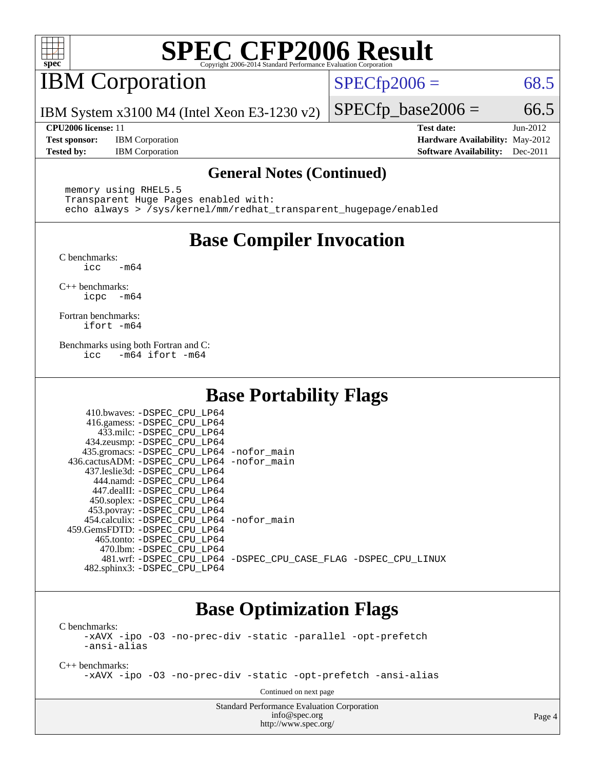

## IBM Corporation

 $SPECTp2006 = 68.5$ 

IBM System x3100 M4 (Intel Xeon E3-1230 v2)

**[Test sponsor:](http://www.spec.org/auto/cpu2006/Docs/result-fields.html#Testsponsor)** IBM Corporation **[Hardware Availability:](http://www.spec.org/auto/cpu2006/Docs/result-fields.html#HardwareAvailability)** May-2012

**[CPU2006 license:](http://www.spec.org/auto/cpu2006/Docs/result-fields.html#CPU2006license)** 11 **[Test date:](http://www.spec.org/auto/cpu2006/Docs/result-fields.html#Testdate)** Jun-2012 **[Tested by:](http://www.spec.org/auto/cpu2006/Docs/result-fields.html#Testedby)** IBM Corporation **[Software Availability:](http://www.spec.org/auto/cpu2006/Docs/result-fields.html#SoftwareAvailability)** Dec-2011

 $SPECTp\_base2006 = 66.5$ 

#### **[General Notes \(Continued\)](http://www.spec.org/auto/cpu2006/Docs/result-fields.html#GeneralNotes)**

 memory using RHEL5.5 Transparent Huge Pages enabled with: echo always > /sys/kernel/mm/redhat\_transparent\_hugepage/enabled

### **[Base Compiler Invocation](http://www.spec.org/auto/cpu2006/Docs/result-fields.html#BaseCompilerInvocation)**

[C benchmarks](http://www.spec.org/auto/cpu2006/Docs/result-fields.html#Cbenchmarks):  $\text{icc}$   $-\text{m64}$ 

[C++ benchmarks:](http://www.spec.org/auto/cpu2006/Docs/result-fields.html#CXXbenchmarks) [icpc -m64](http://www.spec.org/cpu2006/results/res2012q3/cpu2006-20120702-23314.flags.html#user_CXXbase_intel_icpc_64bit_bedb90c1146cab66620883ef4f41a67e)

[Fortran benchmarks](http://www.spec.org/auto/cpu2006/Docs/result-fields.html#Fortranbenchmarks): [ifort -m64](http://www.spec.org/cpu2006/results/res2012q3/cpu2006-20120702-23314.flags.html#user_FCbase_intel_ifort_64bit_ee9d0fb25645d0210d97eb0527dcc06e)

[Benchmarks using both Fortran and C](http://www.spec.org/auto/cpu2006/Docs/result-fields.html#BenchmarksusingbothFortranandC): [icc -m64](http://www.spec.org/cpu2006/results/res2012q3/cpu2006-20120702-23314.flags.html#user_CC_FCbase_intel_icc_64bit_0b7121f5ab7cfabee23d88897260401c) [ifort -m64](http://www.spec.org/cpu2006/results/res2012q3/cpu2006-20120702-23314.flags.html#user_CC_FCbase_intel_ifort_64bit_ee9d0fb25645d0210d97eb0527dcc06e)

### **[Base Portability Flags](http://www.spec.org/auto/cpu2006/Docs/result-fields.html#BasePortabilityFlags)**

| 410.bwaves: -DSPEC CPU LP64                 |                                                                |
|---------------------------------------------|----------------------------------------------------------------|
| 416.gamess: -DSPEC_CPU_LP64                 |                                                                |
| 433.milc: -DSPEC CPU LP64                   |                                                                |
| 434.zeusmp: -DSPEC_CPU_LP64                 |                                                                |
| 435.gromacs: -DSPEC_CPU_LP64 -nofor_main    |                                                                |
| 436.cactusADM: -DSPEC CPU LP64 -nofor main  |                                                                |
| 437.leslie3d: -DSPEC CPU LP64               |                                                                |
| 444.namd: -DSPEC CPU LP64                   |                                                                |
| 447.dealII: -DSPEC CPU LP64                 |                                                                |
| 450.soplex: -DSPEC_CPU_LP64                 |                                                                |
| 453.povray: -DSPEC_CPU_LP64                 |                                                                |
| 454.calculix: - DSPEC CPU LP64 - nofor main |                                                                |
| 459.GemsFDTD: - DSPEC_CPU LP64              |                                                                |
| 465.tonto: - DSPEC CPU LP64                 |                                                                |
| 470.1bm: - DSPEC CPU LP64                   |                                                                |
|                                             | 481.wrf: -DSPEC CPU_LP64 -DSPEC_CPU_CASE_FLAG -DSPEC_CPU_LINUX |
| 482.sphinx3: -DSPEC CPU LP64                |                                                                |

### **[Base Optimization Flags](http://www.spec.org/auto/cpu2006/Docs/result-fields.html#BaseOptimizationFlags)**

[C benchmarks](http://www.spec.org/auto/cpu2006/Docs/result-fields.html#Cbenchmarks):

[-xAVX](http://www.spec.org/cpu2006/results/res2012q3/cpu2006-20120702-23314.flags.html#user_CCbase_f-xAVX) [-ipo](http://www.spec.org/cpu2006/results/res2012q3/cpu2006-20120702-23314.flags.html#user_CCbase_f-ipo) [-O3](http://www.spec.org/cpu2006/results/res2012q3/cpu2006-20120702-23314.flags.html#user_CCbase_f-O3) [-no-prec-div](http://www.spec.org/cpu2006/results/res2012q3/cpu2006-20120702-23314.flags.html#user_CCbase_f-no-prec-div) [-static](http://www.spec.org/cpu2006/results/res2012q3/cpu2006-20120702-23314.flags.html#user_CCbase_f-static) [-parallel](http://www.spec.org/cpu2006/results/res2012q3/cpu2006-20120702-23314.flags.html#user_CCbase_f-parallel) [-opt-prefetch](http://www.spec.org/cpu2006/results/res2012q3/cpu2006-20120702-23314.flags.html#user_CCbase_f-opt-prefetch) [-ansi-alias](http://www.spec.org/cpu2006/results/res2012q3/cpu2006-20120702-23314.flags.html#user_CCbase_f-ansi-alias)

[C++ benchmarks:](http://www.spec.org/auto/cpu2006/Docs/result-fields.html#CXXbenchmarks)

[-xAVX](http://www.spec.org/cpu2006/results/res2012q3/cpu2006-20120702-23314.flags.html#user_CXXbase_f-xAVX) [-ipo](http://www.spec.org/cpu2006/results/res2012q3/cpu2006-20120702-23314.flags.html#user_CXXbase_f-ipo) [-O3](http://www.spec.org/cpu2006/results/res2012q3/cpu2006-20120702-23314.flags.html#user_CXXbase_f-O3) [-no-prec-div](http://www.spec.org/cpu2006/results/res2012q3/cpu2006-20120702-23314.flags.html#user_CXXbase_f-no-prec-div) [-static](http://www.spec.org/cpu2006/results/res2012q3/cpu2006-20120702-23314.flags.html#user_CXXbase_f-static) [-opt-prefetch](http://www.spec.org/cpu2006/results/res2012q3/cpu2006-20120702-23314.flags.html#user_CXXbase_f-opt-prefetch) [-ansi-alias](http://www.spec.org/cpu2006/results/res2012q3/cpu2006-20120702-23314.flags.html#user_CXXbase_f-ansi-alias)

Continued on next page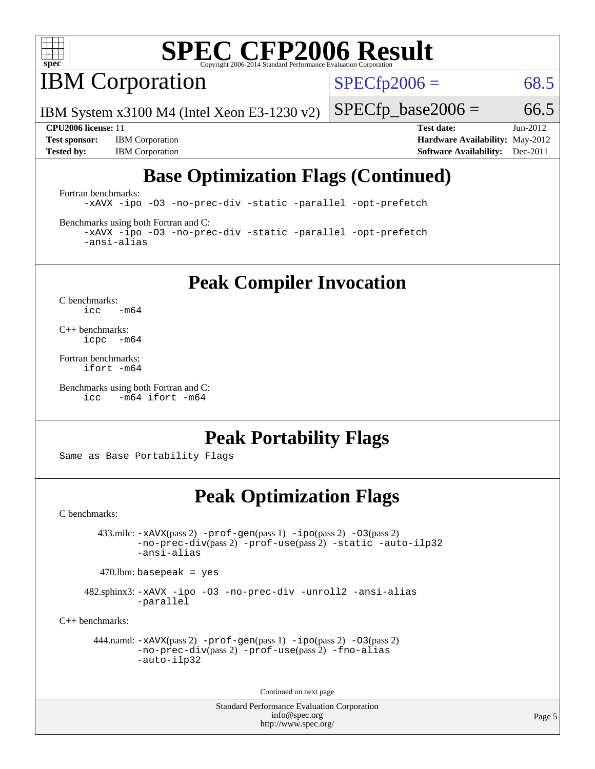

**IBM** Corporation

 $SPECTp2006 = 68.5$ 

IBM System x3100 M4 (Intel Xeon E3-1230 v2)

 $SPECTp\_base2006 = 66.5$ 

**[Test sponsor:](http://www.spec.org/auto/cpu2006/Docs/result-fields.html#Testsponsor)** IBM Corporation **[Hardware Availability:](http://www.spec.org/auto/cpu2006/Docs/result-fields.html#HardwareAvailability)** May-2012

**[CPU2006 license:](http://www.spec.org/auto/cpu2006/Docs/result-fields.html#CPU2006license)** 11 **[Test date:](http://www.spec.org/auto/cpu2006/Docs/result-fields.html#Testdate)** Jun-2012 **[Tested by:](http://www.spec.org/auto/cpu2006/Docs/result-fields.html#Testedby)** IBM Corporation **[Software Availability:](http://www.spec.org/auto/cpu2006/Docs/result-fields.html#SoftwareAvailability)** Dec-2011

### **[Base Optimization Flags \(Continued\)](http://www.spec.org/auto/cpu2006/Docs/result-fields.html#BaseOptimizationFlags)**

[Fortran benchmarks](http://www.spec.org/auto/cpu2006/Docs/result-fields.html#Fortranbenchmarks):

[-xAVX](http://www.spec.org/cpu2006/results/res2012q3/cpu2006-20120702-23314.flags.html#user_FCbase_f-xAVX) [-ipo](http://www.spec.org/cpu2006/results/res2012q3/cpu2006-20120702-23314.flags.html#user_FCbase_f-ipo) [-O3](http://www.spec.org/cpu2006/results/res2012q3/cpu2006-20120702-23314.flags.html#user_FCbase_f-O3) [-no-prec-div](http://www.spec.org/cpu2006/results/res2012q3/cpu2006-20120702-23314.flags.html#user_FCbase_f-no-prec-div) [-static](http://www.spec.org/cpu2006/results/res2012q3/cpu2006-20120702-23314.flags.html#user_FCbase_f-static) [-parallel](http://www.spec.org/cpu2006/results/res2012q3/cpu2006-20120702-23314.flags.html#user_FCbase_f-parallel) [-opt-prefetch](http://www.spec.org/cpu2006/results/res2012q3/cpu2006-20120702-23314.flags.html#user_FCbase_f-opt-prefetch)

[Benchmarks using both Fortran and C](http://www.spec.org/auto/cpu2006/Docs/result-fields.html#BenchmarksusingbothFortranandC):

[-xAVX](http://www.spec.org/cpu2006/results/res2012q3/cpu2006-20120702-23314.flags.html#user_CC_FCbase_f-xAVX) [-ipo](http://www.spec.org/cpu2006/results/res2012q3/cpu2006-20120702-23314.flags.html#user_CC_FCbase_f-ipo) [-O3](http://www.spec.org/cpu2006/results/res2012q3/cpu2006-20120702-23314.flags.html#user_CC_FCbase_f-O3) [-no-prec-div](http://www.spec.org/cpu2006/results/res2012q3/cpu2006-20120702-23314.flags.html#user_CC_FCbase_f-no-prec-div) [-static](http://www.spec.org/cpu2006/results/res2012q3/cpu2006-20120702-23314.flags.html#user_CC_FCbase_f-static) [-parallel](http://www.spec.org/cpu2006/results/res2012q3/cpu2006-20120702-23314.flags.html#user_CC_FCbase_f-parallel) [-opt-prefetch](http://www.spec.org/cpu2006/results/res2012q3/cpu2006-20120702-23314.flags.html#user_CC_FCbase_f-opt-prefetch) [-ansi-alias](http://www.spec.org/cpu2006/results/res2012q3/cpu2006-20120702-23314.flags.html#user_CC_FCbase_f-ansi-alias)

**[Peak Compiler Invocation](http://www.spec.org/auto/cpu2006/Docs/result-fields.html#PeakCompilerInvocation)**

[C benchmarks](http://www.spec.org/auto/cpu2006/Docs/result-fields.html#Cbenchmarks):  $\text{icc}$  -m64

[C++ benchmarks:](http://www.spec.org/auto/cpu2006/Docs/result-fields.html#CXXbenchmarks) [icpc -m64](http://www.spec.org/cpu2006/results/res2012q3/cpu2006-20120702-23314.flags.html#user_CXXpeak_intel_icpc_64bit_bedb90c1146cab66620883ef4f41a67e)

[Fortran benchmarks](http://www.spec.org/auto/cpu2006/Docs/result-fields.html#Fortranbenchmarks): [ifort -m64](http://www.spec.org/cpu2006/results/res2012q3/cpu2006-20120702-23314.flags.html#user_FCpeak_intel_ifort_64bit_ee9d0fb25645d0210d97eb0527dcc06e)

[Benchmarks using both Fortran and C](http://www.spec.org/auto/cpu2006/Docs/result-fields.html#BenchmarksusingbothFortranandC): [icc -m64](http://www.spec.org/cpu2006/results/res2012q3/cpu2006-20120702-23314.flags.html#user_CC_FCpeak_intel_icc_64bit_0b7121f5ab7cfabee23d88897260401c) [ifort -m64](http://www.spec.org/cpu2006/results/res2012q3/cpu2006-20120702-23314.flags.html#user_CC_FCpeak_intel_ifort_64bit_ee9d0fb25645d0210d97eb0527dcc06e)

### **[Peak Portability Flags](http://www.spec.org/auto/cpu2006/Docs/result-fields.html#PeakPortabilityFlags)**

Same as Base Portability Flags

### **[Peak Optimization Flags](http://www.spec.org/auto/cpu2006/Docs/result-fields.html#PeakOptimizationFlags)**

[C benchmarks](http://www.spec.org/auto/cpu2006/Docs/result-fields.html#Cbenchmarks):

 433.milc: [-xAVX](http://www.spec.org/cpu2006/results/res2012q3/cpu2006-20120702-23314.flags.html#user_peakPASS2_CFLAGSPASS2_LDFLAGS433_milc_f-xAVX)(pass 2) [-prof-gen](http://www.spec.org/cpu2006/results/res2012q3/cpu2006-20120702-23314.flags.html#user_peakPASS1_CFLAGSPASS1_LDFLAGS433_milc_prof_gen_e43856698f6ca7b7e442dfd80e94a8fc)(pass 1) [-ipo](http://www.spec.org/cpu2006/results/res2012q3/cpu2006-20120702-23314.flags.html#user_peakPASS2_CFLAGSPASS2_LDFLAGS433_milc_f-ipo)(pass 2) [-O3](http://www.spec.org/cpu2006/results/res2012q3/cpu2006-20120702-23314.flags.html#user_peakPASS2_CFLAGSPASS2_LDFLAGS433_milc_f-O3)(pass 2) [-no-prec-div](http://www.spec.org/cpu2006/results/res2012q3/cpu2006-20120702-23314.flags.html#user_peakPASS2_CFLAGSPASS2_LDFLAGS433_milc_f-no-prec-div)(pass 2) [-prof-use](http://www.spec.org/cpu2006/results/res2012q3/cpu2006-20120702-23314.flags.html#user_peakPASS2_CFLAGSPASS2_LDFLAGS433_milc_prof_use_bccf7792157ff70d64e32fe3e1250b55)(pass 2) [-static](http://www.spec.org/cpu2006/results/res2012q3/cpu2006-20120702-23314.flags.html#user_peakOPTIMIZE433_milc_f-static) [-auto-ilp32](http://www.spec.org/cpu2006/results/res2012q3/cpu2006-20120702-23314.flags.html#user_peakCOPTIMIZE433_milc_f-auto-ilp32) [-ansi-alias](http://www.spec.org/cpu2006/results/res2012q3/cpu2006-20120702-23314.flags.html#user_peakCOPTIMIZE433_milc_f-ansi-alias)

 $470.$ lbm: basepeak = yes

 482.sphinx3: [-xAVX](http://www.spec.org/cpu2006/results/res2012q3/cpu2006-20120702-23314.flags.html#user_peakOPTIMIZE482_sphinx3_f-xAVX) [-ipo](http://www.spec.org/cpu2006/results/res2012q3/cpu2006-20120702-23314.flags.html#user_peakOPTIMIZE482_sphinx3_f-ipo) [-O3](http://www.spec.org/cpu2006/results/res2012q3/cpu2006-20120702-23314.flags.html#user_peakOPTIMIZE482_sphinx3_f-O3) [-no-prec-div](http://www.spec.org/cpu2006/results/res2012q3/cpu2006-20120702-23314.flags.html#user_peakOPTIMIZE482_sphinx3_f-no-prec-div) [-unroll2](http://www.spec.org/cpu2006/results/res2012q3/cpu2006-20120702-23314.flags.html#user_peakCOPTIMIZE482_sphinx3_f-unroll_784dae83bebfb236979b41d2422d7ec2) [-ansi-alias](http://www.spec.org/cpu2006/results/res2012q3/cpu2006-20120702-23314.flags.html#user_peakCOPTIMIZE482_sphinx3_f-ansi-alias) [-parallel](http://www.spec.org/cpu2006/results/res2012q3/cpu2006-20120702-23314.flags.html#user_peakCOPTIMIZE482_sphinx3_f-parallel)

[C++ benchmarks:](http://www.spec.org/auto/cpu2006/Docs/result-fields.html#CXXbenchmarks)

```
 444.namd: -xAVX(pass 2) -prof-gen(pass 1) -ipo(pass 2) -O3(pass 2)
-no-prec-div(pass 2) -prof-use(pass 2) -fno-alias
-auto-ilp32
```
Continued on next page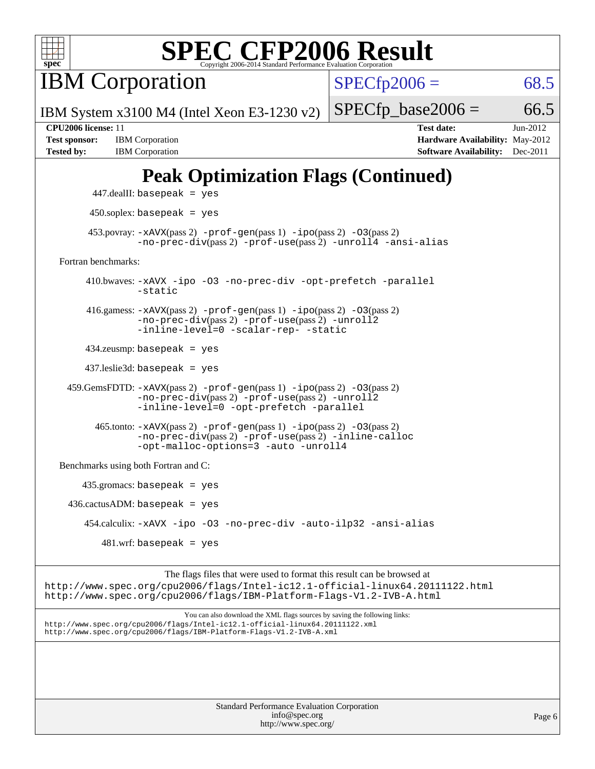

**IBM** Corporation

 $SPECTp2006 = 68.5$ 

IBM System x3100 M4 (Intel Xeon E3-1230 v2)

**[Test sponsor:](http://www.spec.org/auto/cpu2006/Docs/result-fields.html#Testsponsor)** IBM Corporation **[Hardware Availability:](http://www.spec.org/auto/cpu2006/Docs/result-fields.html#HardwareAvailability)** May-2012 **[Tested by:](http://www.spec.org/auto/cpu2006/Docs/result-fields.html#Testedby)** IBM Corporation **[Software Availability:](http://www.spec.org/auto/cpu2006/Docs/result-fields.html#SoftwareAvailability)** Dec-2011

 $SPECTp\_base2006 = 66.5$ **[CPU2006 license:](http://www.spec.org/auto/cpu2006/Docs/result-fields.html#CPU2006license)** 11 **[Test date:](http://www.spec.org/auto/cpu2006/Docs/result-fields.html#Testdate)** Jun-2012

# **[Peak Optimization Flags \(Continued\)](http://www.spec.org/auto/cpu2006/Docs/result-fields.html#PeakOptimizationFlags)**

 447.dealII: basepeak = yes 450.soplex: basepeak = yes 453.povray:  $-x$ AVX(pass 2)  $-p$ rof-gen(pass 1)  $-i$ po(pass 2)  $-03$ (pass 2) [-no-prec-div](http://www.spec.org/cpu2006/results/res2012q3/cpu2006-20120702-23314.flags.html#user_peakPASS2_CXXFLAGSPASS2_LDFLAGS453_povray_f-no-prec-div)(pass 2) [-prof-use](http://www.spec.org/cpu2006/results/res2012q3/cpu2006-20120702-23314.flags.html#user_peakPASS2_CXXFLAGSPASS2_LDFLAGS453_povray_prof_use_bccf7792157ff70d64e32fe3e1250b55)(pass 2) [-unroll4](http://www.spec.org/cpu2006/results/res2012q3/cpu2006-20120702-23314.flags.html#user_peakCXXOPTIMIZE453_povray_f-unroll_4e5e4ed65b7fd20bdcd365bec371b81f) [-ansi-alias](http://www.spec.org/cpu2006/results/res2012q3/cpu2006-20120702-23314.flags.html#user_peakCXXOPTIMIZE453_povray_f-ansi-alias) [Fortran benchmarks](http://www.spec.org/auto/cpu2006/Docs/result-fields.html#Fortranbenchmarks): 410.bwaves: [-xAVX](http://www.spec.org/cpu2006/results/res2012q3/cpu2006-20120702-23314.flags.html#user_peakOPTIMIZE410_bwaves_f-xAVX) [-ipo](http://www.spec.org/cpu2006/results/res2012q3/cpu2006-20120702-23314.flags.html#user_peakOPTIMIZE410_bwaves_f-ipo) [-O3](http://www.spec.org/cpu2006/results/res2012q3/cpu2006-20120702-23314.flags.html#user_peakOPTIMIZE410_bwaves_f-O3) [-no-prec-div](http://www.spec.org/cpu2006/results/res2012q3/cpu2006-20120702-23314.flags.html#user_peakOPTIMIZE410_bwaves_f-no-prec-div) [-opt-prefetch](http://www.spec.org/cpu2006/results/res2012q3/cpu2006-20120702-23314.flags.html#user_peakOPTIMIZE410_bwaves_f-opt-prefetch) [-parallel](http://www.spec.org/cpu2006/results/res2012q3/cpu2006-20120702-23314.flags.html#user_peakOPTIMIZE410_bwaves_f-parallel) [-static](http://www.spec.org/cpu2006/results/res2012q3/cpu2006-20120702-23314.flags.html#user_peakOPTIMIZE410_bwaves_f-static) 416.gamess: [-xAVX](http://www.spec.org/cpu2006/results/res2012q3/cpu2006-20120702-23314.flags.html#user_peakPASS2_FFLAGSPASS2_LDFLAGS416_gamess_f-xAVX)(pass 2) [-prof-gen](http://www.spec.org/cpu2006/results/res2012q3/cpu2006-20120702-23314.flags.html#user_peakPASS1_FFLAGSPASS1_LDFLAGS416_gamess_prof_gen_e43856698f6ca7b7e442dfd80e94a8fc)(pass 1) [-ipo](http://www.spec.org/cpu2006/results/res2012q3/cpu2006-20120702-23314.flags.html#user_peakPASS2_FFLAGSPASS2_LDFLAGS416_gamess_f-ipo)(pass 2) [-O3](http://www.spec.org/cpu2006/results/res2012q3/cpu2006-20120702-23314.flags.html#user_peakPASS2_FFLAGSPASS2_LDFLAGS416_gamess_f-O3)(pass 2) [-no-prec-div](http://www.spec.org/cpu2006/results/res2012q3/cpu2006-20120702-23314.flags.html#user_peakPASS2_FFLAGSPASS2_LDFLAGS416_gamess_f-no-prec-div)(pass 2) [-prof-use](http://www.spec.org/cpu2006/results/res2012q3/cpu2006-20120702-23314.flags.html#user_peakPASS2_FFLAGSPASS2_LDFLAGS416_gamess_prof_use_bccf7792157ff70d64e32fe3e1250b55)(pass 2) [-unroll2](http://www.spec.org/cpu2006/results/res2012q3/cpu2006-20120702-23314.flags.html#user_peakOPTIMIZE416_gamess_f-unroll_784dae83bebfb236979b41d2422d7ec2) [-inline-level=0](http://www.spec.org/cpu2006/results/res2012q3/cpu2006-20120702-23314.flags.html#user_peakOPTIMIZE416_gamess_f-inline-level_318d07a09274ad25e8d15dbfaa68ba50) [-scalar-rep-](http://www.spec.org/cpu2006/results/res2012q3/cpu2006-20120702-23314.flags.html#user_peakOPTIMIZE416_gamess_f-disablescalarrep_abbcad04450fb118e4809c81d83c8a1d) [-static](http://www.spec.org/cpu2006/results/res2012q3/cpu2006-20120702-23314.flags.html#user_peakOPTIMIZE416_gamess_f-static) 434.zeusmp: basepeak = yes 437.leslie3d: basepeak = yes 459.GemsFDTD: [-xAVX](http://www.spec.org/cpu2006/results/res2012q3/cpu2006-20120702-23314.flags.html#user_peakPASS2_FFLAGSPASS2_LDFLAGS459_GemsFDTD_f-xAVX)(pass 2) [-prof-gen](http://www.spec.org/cpu2006/results/res2012q3/cpu2006-20120702-23314.flags.html#user_peakPASS1_FFLAGSPASS1_LDFLAGS459_GemsFDTD_prof_gen_e43856698f6ca7b7e442dfd80e94a8fc)(pass 1) [-ipo](http://www.spec.org/cpu2006/results/res2012q3/cpu2006-20120702-23314.flags.html#user_peakPASS2_FFLAGSPASS2_LDFLAGS459_GemsFDTD_f-ipo)(pass 2) [-O3](http://www.spec.org/cpu2006/results/res2012q3/cpu2006-20120702-23314.flags.html#user_peakPASS2_FFLAGSPASS2_LDFLAGS459_GemsFDTD_f-O3)(pass 2) [-no-prec-div](http://www.spec.org/cpu2006/results/res2012q3/cpu2006-20120702-23314.flags.html#user_peakPASS2_FFLAGSPASS2_LDFLAGS459_GemsFDTD_f-no-prec-div)(pass 2) [-prof-use](http://www.spec.org/cpu2006/results/res2012q3/cpu2006-20120702-23314.flags.html#user_peakPASS2_FFLAGSPASS2_LDFLAGS459_GemsFDTD_prof_use_bccf7792157ff70d64e32fe3e1250b55)(pass 2) [-unroll2](http://www.spec.org/cpu2006/results/res2012q3/cpu2006-20120702-23314.flags.html#user_peakOPTIMIZE459_GemsFDTD_f-unroll_784dae83bebfb236979b41d2422d7ec2) [-inline-level=0](http://www.spec.org/cpu2006/results/res2012q3/cpu2006-20120702-23314.flags.html#user_peakOPTIMIZE459_GemsFDTD_f-inline-level_318d07a09274ad25e8d15dbfaa68ba50) [-opt-prefetch](http://www.spec.org/cpu2006/results/res2012q3/cpu2006-20120702-23314.flags.html#user_peakOPTIMIZE459_GemsFDTD_f-opt-prefetch) [-parallel](http://www.spec.org/cpu2006/results/res2012q3/cpu2006-20120702-23314.flags.html#user_peakOPTIMIZE459_GemsFDTD_f-parallel) 465.tonto: [-xAVX](http://www.spec.org/cpu2006/results/res2012q3/cpu2006-20120702-23314.flags.html#user_peakPASS2_FFLAGSPASS2_LDFLAGS465_tonto_f-xAVX)(pass 2) [-prof-gen](http://www.spec.org/cpu2006/results/res2012q3/cpu2006-20120702-23314.flags.html#user_peakPASS1_FFLAGSPASS1_LDFLAGS465_tonto_prof_gen_e43856698f6ca7b7e442dfd80e94a8fc)(pass 1) [-ipo](http://www.spec.org/cpu2006/results/res2012q3/cpu2006-20120702-23314.flags.html#user_peakPASS2_FFLAGSPASS2_LDFLAGS465_tonto_f-ipo)(pass 2) [-O3](http://www.spec.org/cpu2006/results/res2012q3/cpu2006-20120702-23314.flags.html#user_peakPASS2_FFLAGSPASS2_LDFLAGS465_tonto_f-O3)(pass 2) [-no-prec-div](http://www.spec.org/cpu2006/results/res2012q3/cpu2006-20120702-23314.flags.html#user_peakPASS2_FFLAGSPASS2_LDFLAGS465_tonto_f-no-prec-div)(pass 2) [-prof-use](http://www.spec.org/cpu2006/results/res2012q3/cpu2006-20120702-23314.flags.html#user_peakPASS2_FFLAGSPASS2_LDFLAGS465_tonto_prof_use_bccf7792157ff70d64e32fe3e1250b55)(pass 2) [-inline-calloc](http://www.spec.org/cpu2006/results/res2012q3/cpu2006-20120702-23314.flags.html#user_peakOPTIMIZE465_tonto_f-inline-calloc) [-opt-malloc-options=3](http://www.spec.org/cpu2006/results/res2012q3/cpu2006-20120702-23314.flags.html#user_peakOPTIMIZE465_tonto_f-opt-malloc-options_13ab9b803cf986b4ee62f0a5998c2238) [-auto](http://www.spec.org/cpu2006/results/res2012q3/cpu2006-20120702-23314.flags.html#user_peakOPTIMIZE465_tonto_f-auto) [-unroll4](http://www.spec.org/cpu2006/results/res2012q3/cpu2006-20120702-23314.flags.html#user_peakOPTIMIZE465_tonto_f-unroll_4e5e4ed65b7fd20bdcd365bec371b81f) [Benchmarks using both Fortran and C](http://www.spec.org/auto/cpu2006/Docs/result-fields.html#BenchmarksusingbothFortranandC): 435.gromacs: basepeak = yes  $436.cactusADM: basepeak = yes$  454.calculix: [-xAVX](http://www.spec.org/cpu2006/results/res2012q3/cpu2006-20120702-23314.flags.html#user_peakOPTIMIZE454_calculix_f-xAVX) [-ipo](http://www.spec.org/cpu2006/results/res2012q3/cpu2006-20120702-23314.flags.html#user_peakOPTIMIZE454_calculix_f-ipo) [-O3](http://www.spec.org/cpu2006/results/res2012q3/cpu2006-20120702-23314.flags.html#user_peakOPTIMIZE454_calculix_f-O3) [-no-prec-div](http://www.spec.org/cpu2006/results/res2012q3/cpu2006-20120702-23314.flags.html#user_peakOPTIMIZE454_calculix_f-no-prec-div) [-auto-ilp32](http://www.spec.org/cpu2006/results/res2012q3/cpu2006-20120702-23314.flags.html#user_peakCOPTIMIZE454_calculix_f-auto-ilp32) [-ansi-alias](http://www.spec.org/cpu2006/results/res2012q3/cpu2006-20120702-23314.flags.html#user_peakCOPTIMIZE454_calculix_f-ansi-alias)  $481 \text{.m}$ : basepeak = yes

The flags files that were used to format this result can be browsed at <http://www.spec.org/cpu2006/flags/Intel-ic12.1-official-linux64.20111122.html> <http://www.spec.org/cpu2006/flags/IBM-Platform-Flags-V1.2-IVB-A.html>

You can also download the XML flags sources by saving the following links: <http://www.spec.org/cpu2006/flags/Intel-ic12.1-official-linux64.20111122.xml> <http://www.spec.org/cpu2006/flags/IBM-Platform-Flags-V1.2-IVB-A.xml>